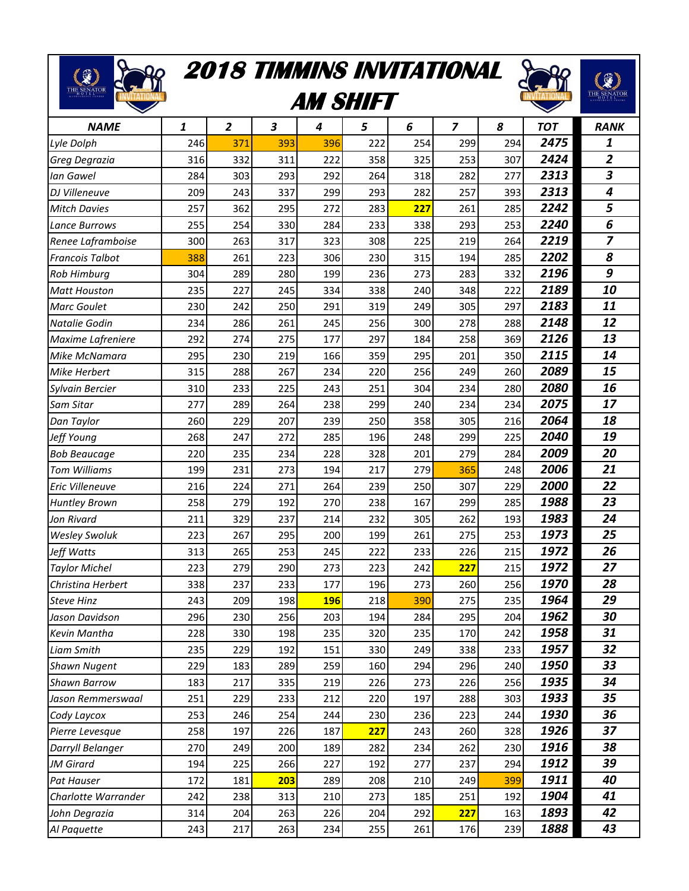## **2018 TIMMINS INVITATIONAL**

RR

 $\begin{picture}(180,10) \put(0,0){\line(1,0){10}} \put(10,0){\line(1,0){10}} \put(10,0){\line(1,0){10}} \put(10,0){\line(1,0){10}} \put(10,0){\line(1,0){10}} \put(10,0){\line(1,0){10}} \put(10,0){\line(1,0){10}} \put(10,0){\line(1,0){10}} \put(10,0){\line(1,0){10}} \put(10,0){\line(1,0){10}} \put(10,0){\line(1,0){10}} \put(10,0){\line($ 

88

## **AM SHIFT**



| <b>NAME</b>            | 1   | $\overline{2}$ | 3   | 4          | 5   | 6   | 7   | 8   | <b>TOT</b> | <b>RANK</b>    |
|------------------------|-----|----------------|-----|------------|-----|-----|-----|-----|------------|----------------|
| Lyle Dolph             | 246 | 371            | 393 | 396        | 222 | 254 | 299 | 294 | 2475       | 1              |
| Greg Degrazia          | 316 | 332            | 311 | 222        | 358 | 325 | 253 | 307 | 2424       | $\overline{2}$ |
| Ian Gawel              | 284 | 303            | 293 | 292        | 264 | 318 | 282 | 277 | 2313       | 3              |
| DJ Villeneuve          | 209 | 243            | 337 | 299        | 293 | 282 | 257 | 393 | 2313       | 4              |
| <b>Mitch Davies</b>    | 257 | 362            | 295 | 272        | 283 | 227 | 261 | 285 | 2242       | 5              |
| Lance Burrows          | 255 | 254            | 330 | 284        | 233 | 338 | 293 | 253 | 2240       | 6              |
| Renee Laframboise      | 300 | 263            | 317 | 323        | 308 | 225 | 219 | 264 | 2219       | $\overline{z}$ |
| <b>Francois Talbot</b> | 388 | 261            | 223 | 306        | 230 | 315 | 194 | 285 | 2202       | 8              |
| Rob Himburg            | 304 | 289            | 280 | 199        | 236 | 273 | 283 | 332 | 2196       | 9              |
| <b>Matt Houston</b>    | 235 | 227            | 245 | 334        | 338 | 240 | 348 | 222 | 2189       | 10             |
| <b>Marc Goulet</b>     | 230 | 242            | 250 | 291        | 319 | 249 | 305 | 297 | 2183       | 11             |
| Natalie Godin          | 234 | 286            | 261 | 245        | 256 | 300 | 278 | 288 | 2148       | 12             |
| Maxime Lafreniere      | 292 | 274            | 275 | 177        | 297 | 184 | 258 | 369 | 2126       | 13             |
| Mike McNamara          | 295 | 230            | 219 | 166        | 359 | 295 | 201 | 350 | 2115       | 14             |
| Mike Herbert           | 315 | 288            | 267 | 234        | 220 | 256 | 249 | 260 | 2089       | 15             |
| Sylvain Bercier        | 310 | 233            | 225 | 243        | 251 | 304 | 234 | 280 | 2080       | 16             |
| Sam Sitar              | 277 | 289            | 264 | 238        | 299 | 240 | 234 | 234 | 2075       | 17             |
| Dan Taylor             | 260 | 229            | 207 | 239        | 250 | 358 | 305 | 216 | 2064       | 18             |
| Jeff Young             | 268 | 247            | 272 | 285        | 196 | 248 | 299 | 225 | 2040       | 19             |
| <b>Bob Beaucage</b>    | 220 | 235            | 234 | 228        | 328 | 201 | 279 | 284 | 2009       | 20             |
| <b>Tom Williams</b>    | 199 | 231            | 273 | 194        | 217 | 279 | 365 | 248 | 2006       | 21             |
| Eric Villeneuve        | 216 | 224            | 271 | 264        | 239 | 250 | 307 | 229 | 2000       | 22             |
| <b>Huntley Brown</b>   | 258 | 279            | 192 | 270        | 238 | 167 | 299 | 285 | 1988       | 23             |
| Jon Rivard             | 211 | 329            | 237 | 214        | 232 | 305 | 262 | 193 | 1983       | 24             |
| <b>Wesley Swoluk</b>   | 223 | 267            | 295 | 200        | 199 | 261 | 275 | 253 | 1973       | 25             |
| Jeff Watts             | 313 | 265            | 253 | 245        | 222 | 233 | 226 | 215 | 1972       | 26             |
| <b>Taylor Michel</b>   | 223 | 279            | 290 | 273        | 223 | 242 | 227 | 215 | 1972       | 27             |
| Christina Herbert      | 338 | 237            | 233 | 177        | 196 | 273 | 260 | 256 | 1970       | 28             |
| <b>Steve Hinz</b>      | 243 | 209            | 198 | <b>196</b> | 218 | 390 | 275 | 235 | 1964       | 29             |
| Jason Davidson         | 296 | 230            | 256 | 203        | 194 | 284 | 295 | 204 | 1962       | 30             |
| Kevin Mantha           | 228 | 330            | 198 | 235        | 320 | 235 | 170 | 242 | 1958       | 31             |
| <b>Liam Smith</b>      | 235 | 229            | 192 | 151        | 330 | 249 | 338 | 233 | 1957       | 32             |
| <b>Shawn Nugent</b>    | 229 | 183            | 289 | 259        | 160 | 294 | 296 | 240 | 1950       | 33             |
| <b>Shawn Barrow</b>    | 183 | 217            | 335 | 219        | 226 | 273 | 226 | 256 | 1935       | 34             |
| Jason Remmerswaal      | 251 | 229            | 233 | 212        | 220 | 197 | 288 | 303 | 1933       | 35             |
| Cody Laycox            | 253 | 246            | 254 | 244        | 230 | 236 | 223 | 244 | 1930       | 36             |
| Pierre Levesque        | 258 | 197            | 226 | 187        | 227 | 243 | 260 | 328 | 1926       | 37             |
| Darryll Belanger       | 270 | 249            | 200 | 189        | 282 | 234 | 262 | 230 | 1916       | 38             |
| JM Girard              | 194 | 225            | 266 | 227        | 192 | 277 | 237 | 294 | 1912       | 39             |
| Pat Hauser             | 172 | 181            | 203 | 289        | 208 | 210 | 249 | 399 | 1911       | 40             |
| Charlotte Warrander    | 242 | 238            | 313 | 210        | 273 | 185 | 251 | 192 | 1904       | 41             |
| John Degrazia          | 314 | 204            | 263 | 226        | 204 | 292 | 227 | 163 | 1893       | 42             |
| Al Paquette            | 243 | 217            | 263 | 234        | 255 | 261 | 176 | 239 | 1888       | 43             |